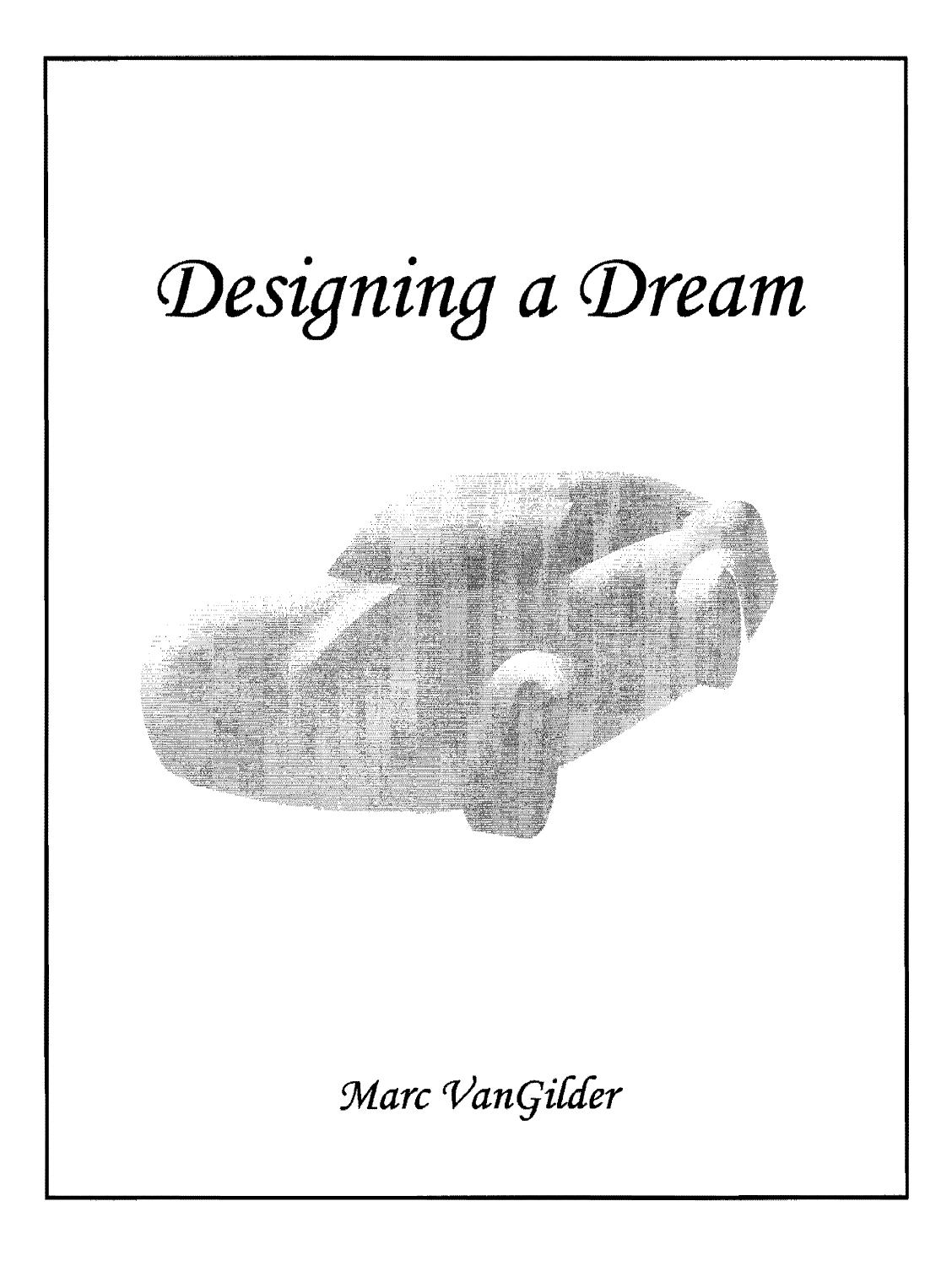



Marc VanGilder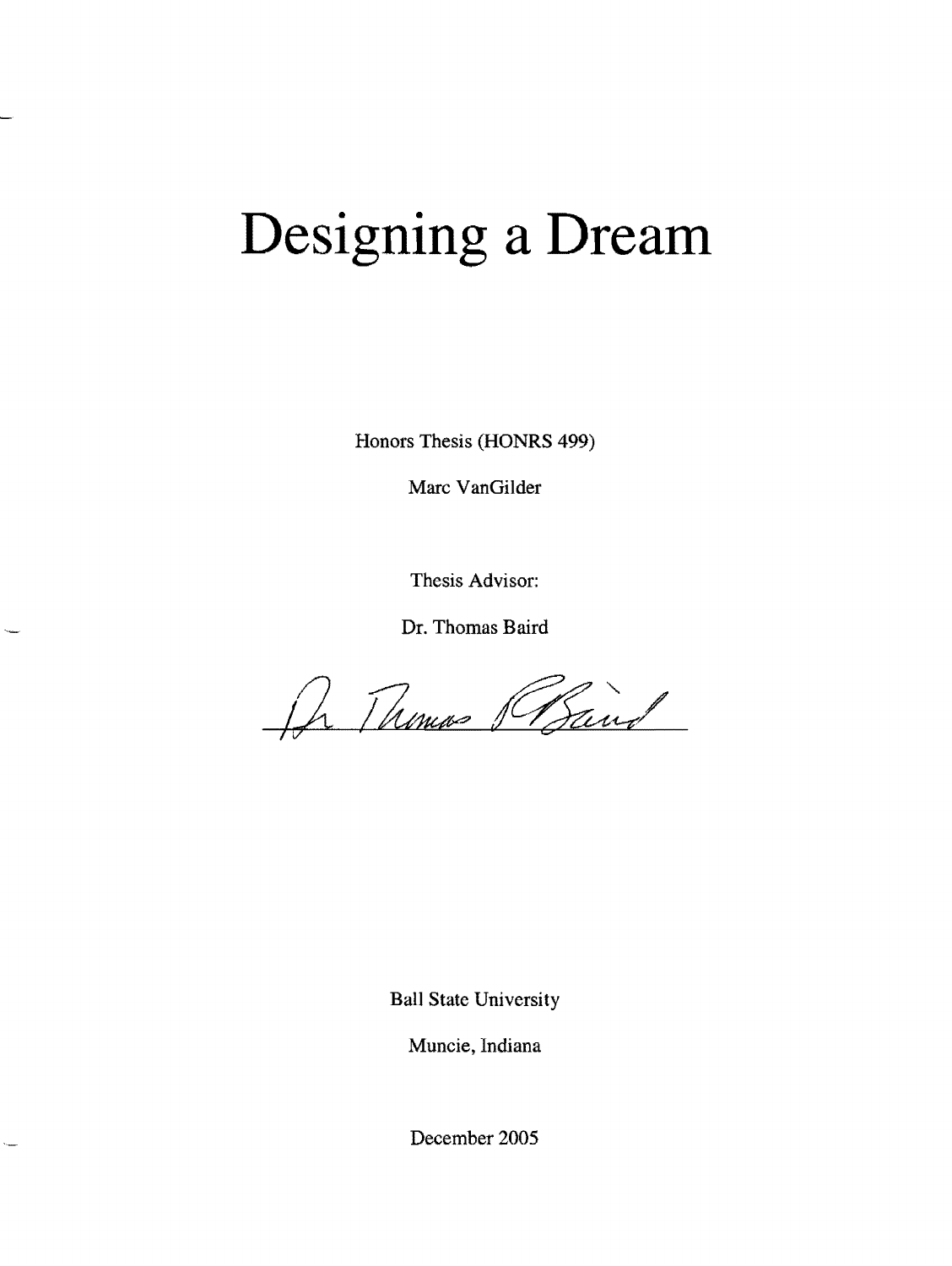### **Designing a Dream**

Honors Thesis (HONRS 499)

Marc VanGilder

Thesis Advisor:

Dr. Thomas Baird

Dr. Thomas Pland

Ball State University

Muncie, Indiana

December 2005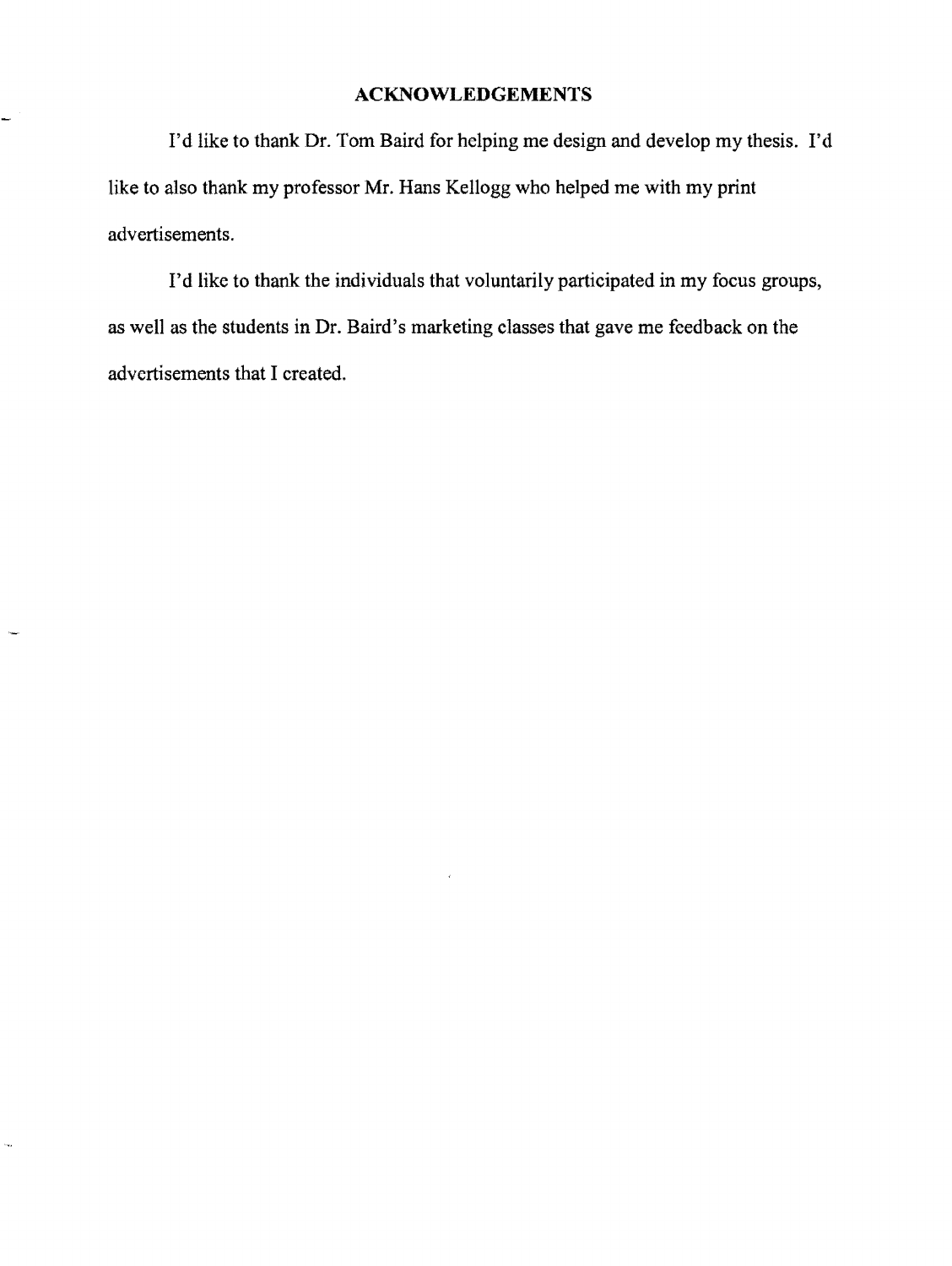#### **ACKNOWLEDGEMENTS**

÷

.<br>Turk

I'd like to thank Dr. Tom Baird for helping me design and develop my thesis. I'd like to also thank my professor Mr. Hans Kellogg who helped me with my print advertisements.

I'd like to thank the individuals that voluntarily participated in my focus groups, as well as the students in Dr. Baird's marketing classes that gave me feedback on the advertisements that I created.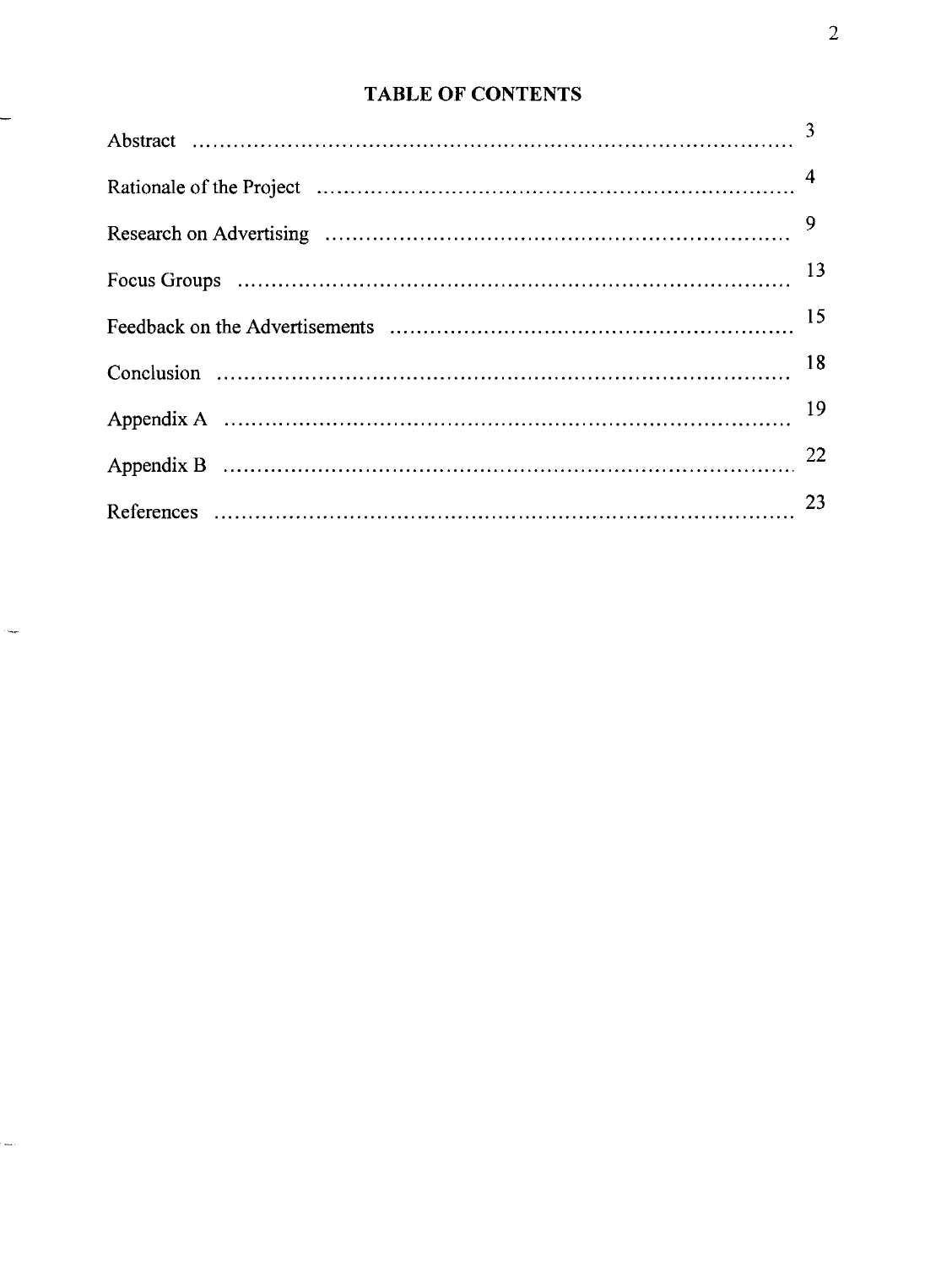#### **TABLE OF CONTENTS**

| 22 |
|----|
|    |

.<br>Tanzan

 $\bar{\phantom{a}}$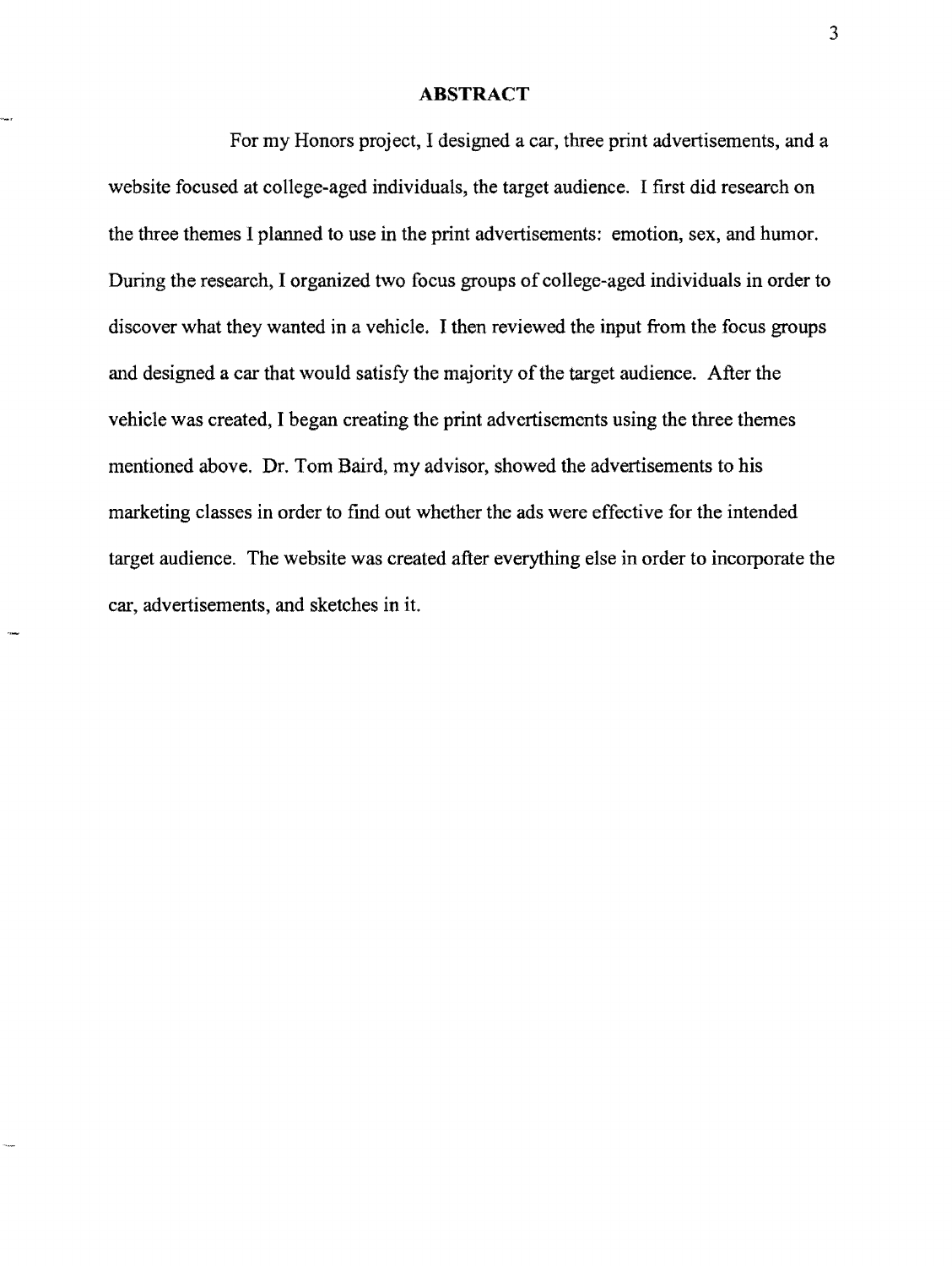#### ABSTRACT

For my Honors project, I designed a car, three print advertisements, and a website focused at college-aged individuals, the target audience. I first did research on the three themes I planned to use in the print advertisements: emotion, sex, and humor. During the research, I organized two focus groups of college-aged individuals in order to discover what they wanted in a vehicle. I then reviewed the input from the focus groups and designed a car that would satisfy the majority of the target audience. After the vehicle was created, I began creating the print advertisements using the three themes mentioned above. Dr. Tom Baird, my advisor, showed the advertisements to his marketing classes in order to find out whether the ads were effective for the intended target audience. The website was created after everything else in order to incorporate the car, advertisements, and sketches in it.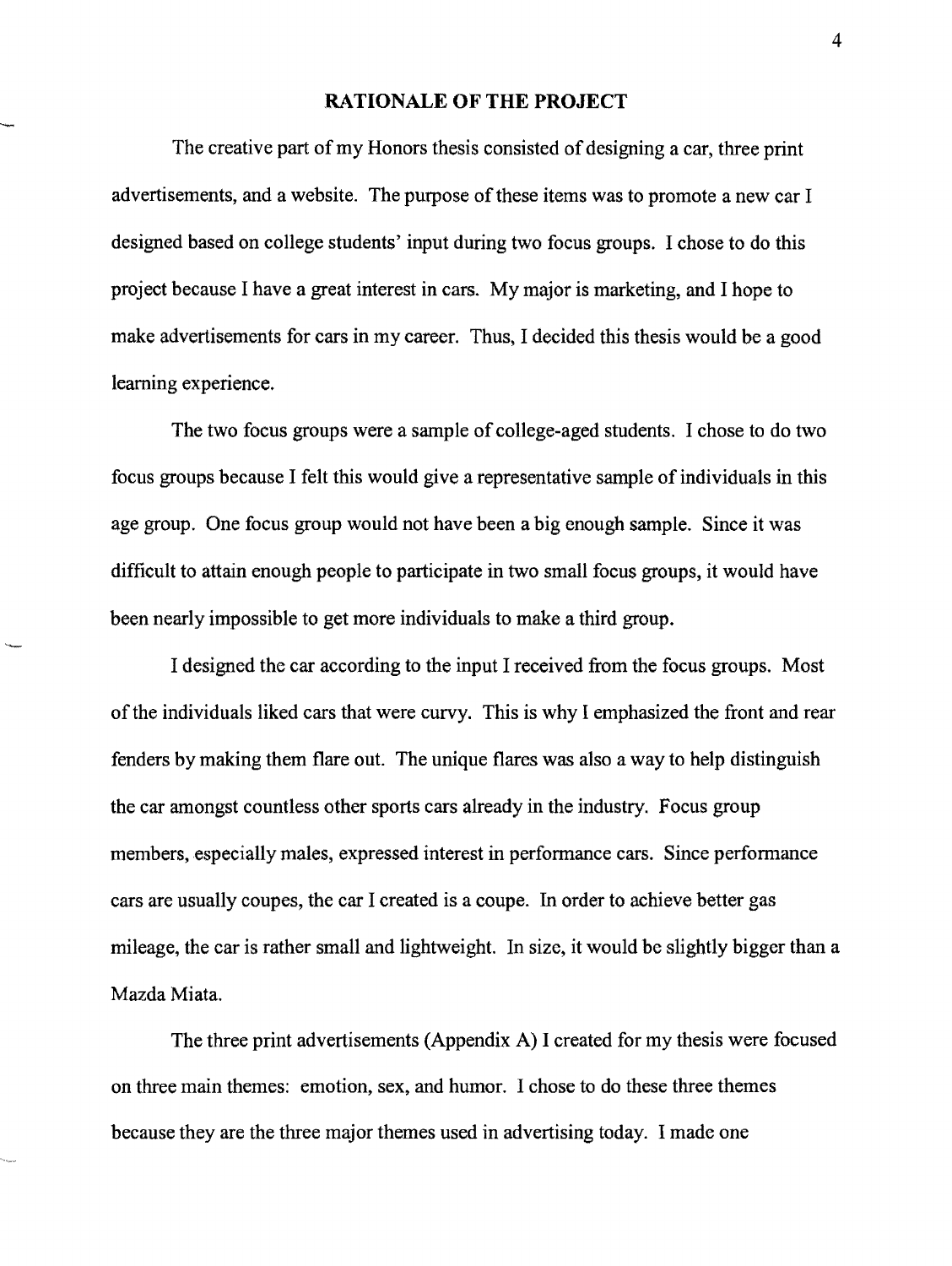#### **RATIONALE OF THE PROJECT**

The creative part of my Honors thesis consisted of designing a car, three print advertisements, and a website. The purpose of these items was to promote a new car I designed based on college students' input during two focus groups. I chose to do this project because I have a great interest in cars. My major is marketing, and I hope to make advertisements for cars in my career. Thus, I decided this thesis would be a good learning experience.

The two focus groups were a sample of college-aged students. I chose to do two focus groups because I felt this would give a representative sample of individuals in this age group. One focus group would not have been a big enough sample. Since it was difficult to attain enough people to participate in two small focus groups, it would have been nearly impossible to get more individuals to make a third group.

I designed the car according to the input I received from the focus groups. Most of the individuals liked cars that were curvy. This is why I emphasized the front and rear fenders by making them flare out. The unique flares was also a way to help distinguish the car amongst countless other sports cars already in the industry. Focus group members, especially males, expressed interest in performance cars. Since performance cars are usually coupes, the car I created is a coupe. In order to achieve better gas mileage, the car is rather small and lightweight. In size, it would be slightly bigger than a Mazda Miata.

The three print advertisements (Appendix A) I created for my thesis were focused on three main themes: emotion, sex, and humor. I chose to do these three themes because they are the three major themes used in advertising today. I made one

4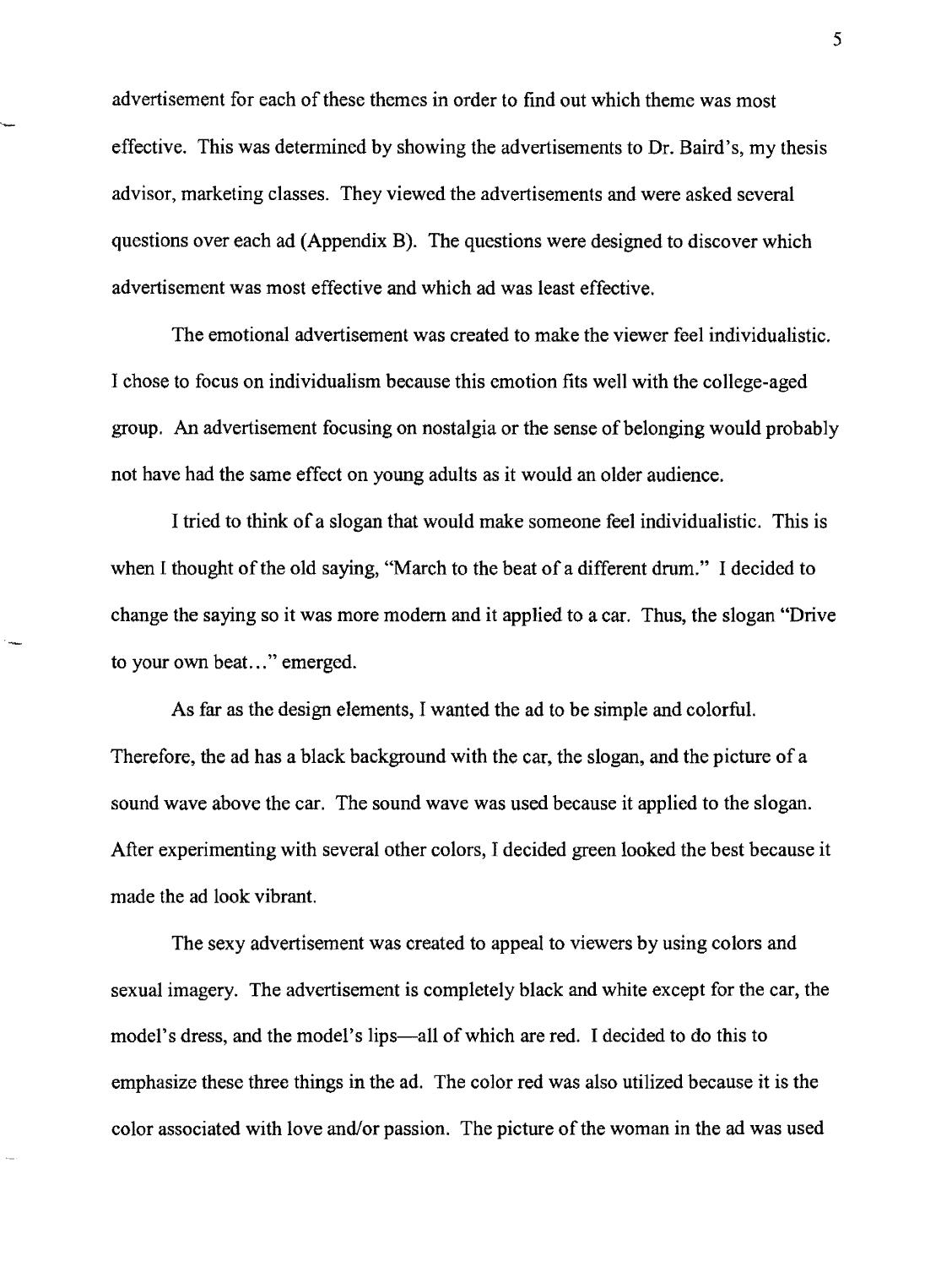advertisement for each of these themes in order to find out which theme was most effective. This was determined by showing the advertisements to Dr. Baird's, my thesis advisor, marketing classes. They viewed the advertisements and were asked several questions over each ad (Appendix B). The questions were designed to discover which advertisement was most effective and which ad was least effective.

The emotional advertisement was created to make the viewer feel individualistic. I chose to focus on individualism because this emotion fits well with the college-aged group. An advertisement focusing on nostalgia or the sense of belonging would probably not have had the same effect on young adults as it would an older audience.

I tried to think of a slogan that would make someone feel individualistic. This is when I thought of the old saying, "March to the beat of a different drum." I decided to change the saying so it was more modern and it applied to a car. Thus, the slogan "Drive to your own beat..." emerged.

As far as the design elements, I wanted the ad to be simple and colorful. Therefore, the ad has a black background with the car, the slogan, and the picture of a sound wave above the car. The sound wave was used because it applied to the slogan. After experimenting with several other colors, I decided green looked the best because it made the ad look vibrant.

The sexy advertisement was created to appeal to viewers by using colors and sexual imagery. The advertisement is completely black and white except for the car, the model's dress, and the model's lips-all of which are red. I decided to do this to emphasize these three things in the ad. The color red was also utilized because it is the color associated with love and/or passion. The picture of the woman in the ad was used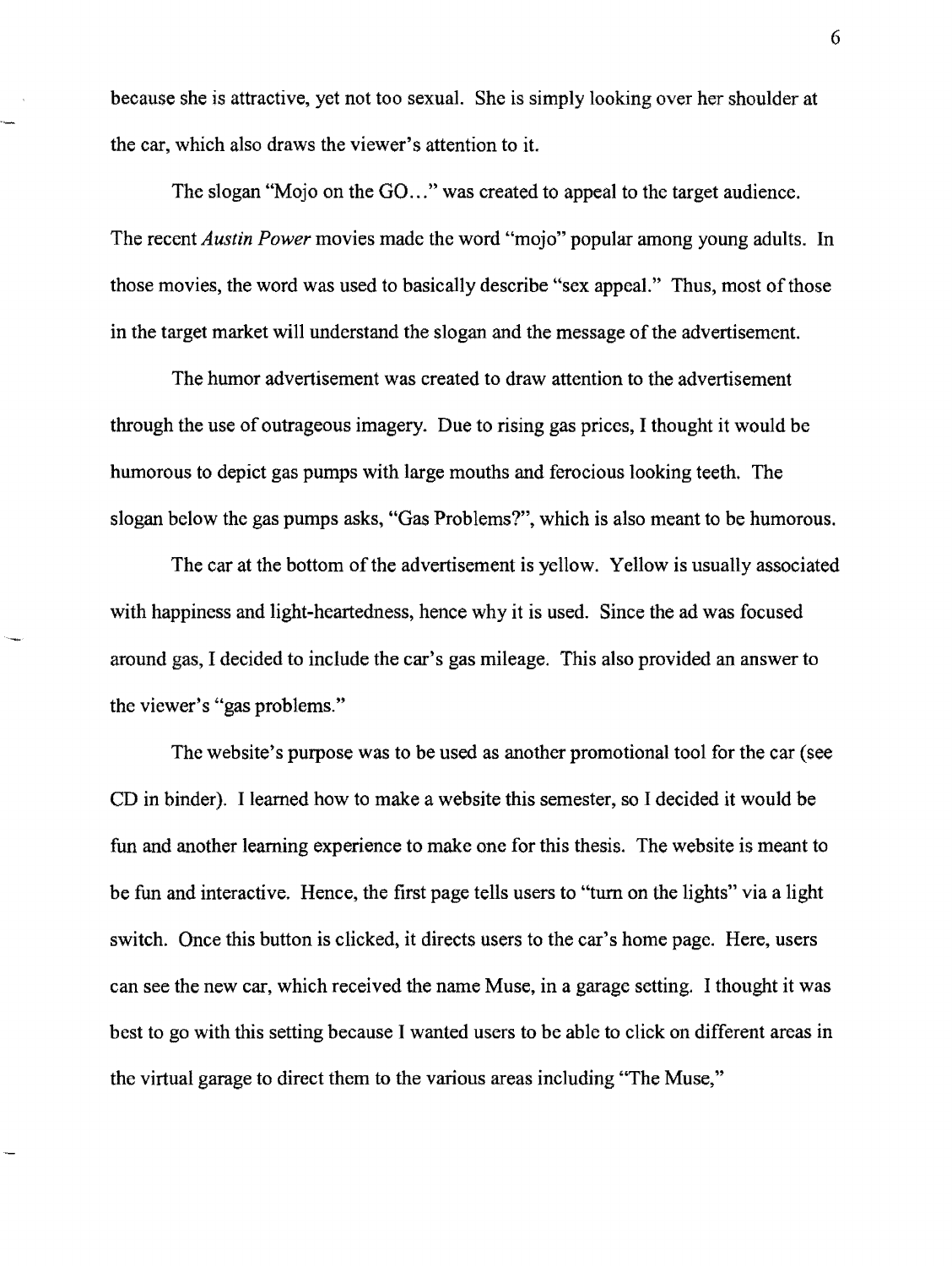because she is attractive, yet not too sexual. She is simply looking over her shoulder at the car, which also draws the viewer's attention to it.

The slogan "Mojo on the GO..." was created to appeal to the target audience. The recent *Austin Power* movies made the word "mojo" popular among young adults. In those movies, the word was used to basically describe "sex appeal." Thus, most of those in the target market will understand the slogan and the message of the advertisement.

The humor advertisement was created to draw attention to the advertisement through the use of outrageous imagery. Due to rising gas prices, I thought it would be humorous to depict gas pumps with large mouths and ferocious looking teeth. The slogan below the gas pumps asks, "Gas Problems?", which is also meant to be humorous.

The car at the bottom of the advertisement is yellow. Yellow is usually associated with happiness and light-heartedness, hence why it is used. Since the ad was focused around gas, I decided to include the car's gas mileage. This also provided an answer to the viewer's "gas problems."

The website's purpose was to be used as another promotional tool for the car (see CD in binder). I learned how to make a website this semester, so I decided it would be fun and another learning experience to make one for this thesis. The website is meant to be fun and interactive. Hence, the first page tells users to "turn on the lights" via a light switch. Once this button is clicked, it directs users to the car's home page. Here, users can see the new car, which received the name Muse, in a garage setting. I thought it was best to go with this setting because I wanted users to be able to click on different areas in the virtual garage to direct them to the various areas including "The Muse,"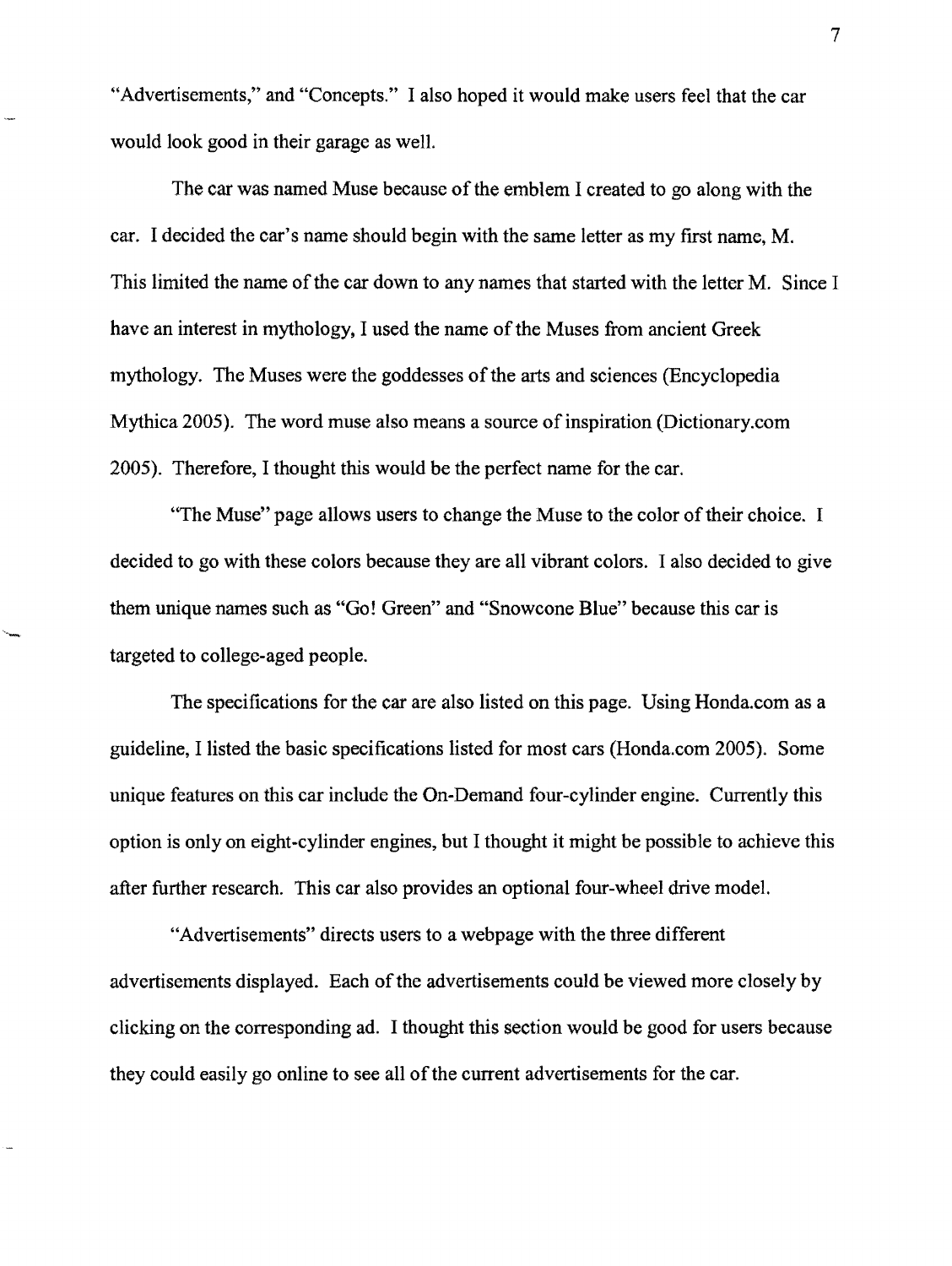"Advertisements," and "Concepts." I also hoped it would make users feel that the car would look good in their garage as welL

The car was named Muse because of the emblem I created to go along with the car. I decided the car's name should begin with the same letter as my first name, M. This limited the name of the car down to any names that started with the letter M. Since I have an interest in mythology, I used the name of the Muses from ancient Greek mythology. The Muses were the goddesses of the arts and sciences (Encyclopedia Mythica 2005). The word muse also means a source of inspiration (Dictionary. com 2005). Therefore, I thought this would be the perfect name for the car.

"The Muse" page allows users to change the Muse to the color of their choice. I decided to go with these colors because they are all vibrant colors. I also decided to give them unique names such as "Go! Green" and "Snowcone Blue" because this car is targeted to college-aged people.

The specifications for the car are also listed on this page. Using Honda.com as a guideline, I listed the basic specifications listed for most cars (Honda. com 2005). Some unique features on this car include the On-Demand four-cylinder engine. Currently this option is only on eight·cylinder engines, but I thought it might be possible to achieve this after further research. This car also provides an optional four-wheel drive model.

"Advertisements" directs users to a webpage with the three different advertisements displayed. Each of the advertisements could be viewed more closely by clicking on the corresponding ad. I thought this section would be good for users because they could easily go online to see all of the current advertisements for the car.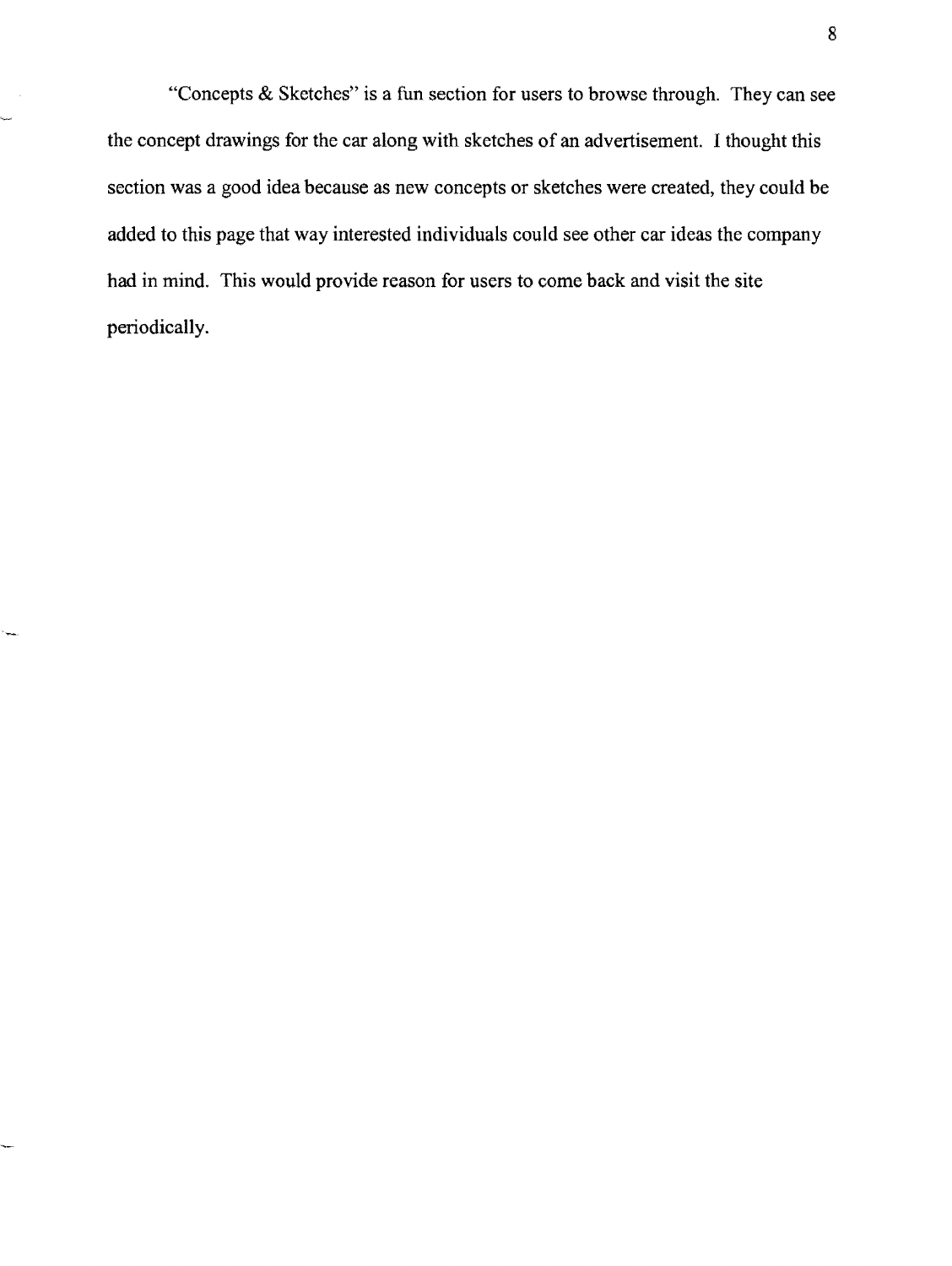"Concepts & Sketches" is a fun section for users to browse through. They can see the concept drawings for the car along with sketches of an advertisement. I thought this section was a good idea because as new concepts or sketches were created, they could be added to this page that way interested individuals could see other car ideas the company had in mind. This would provide reason for users to come back and visit the site periodically.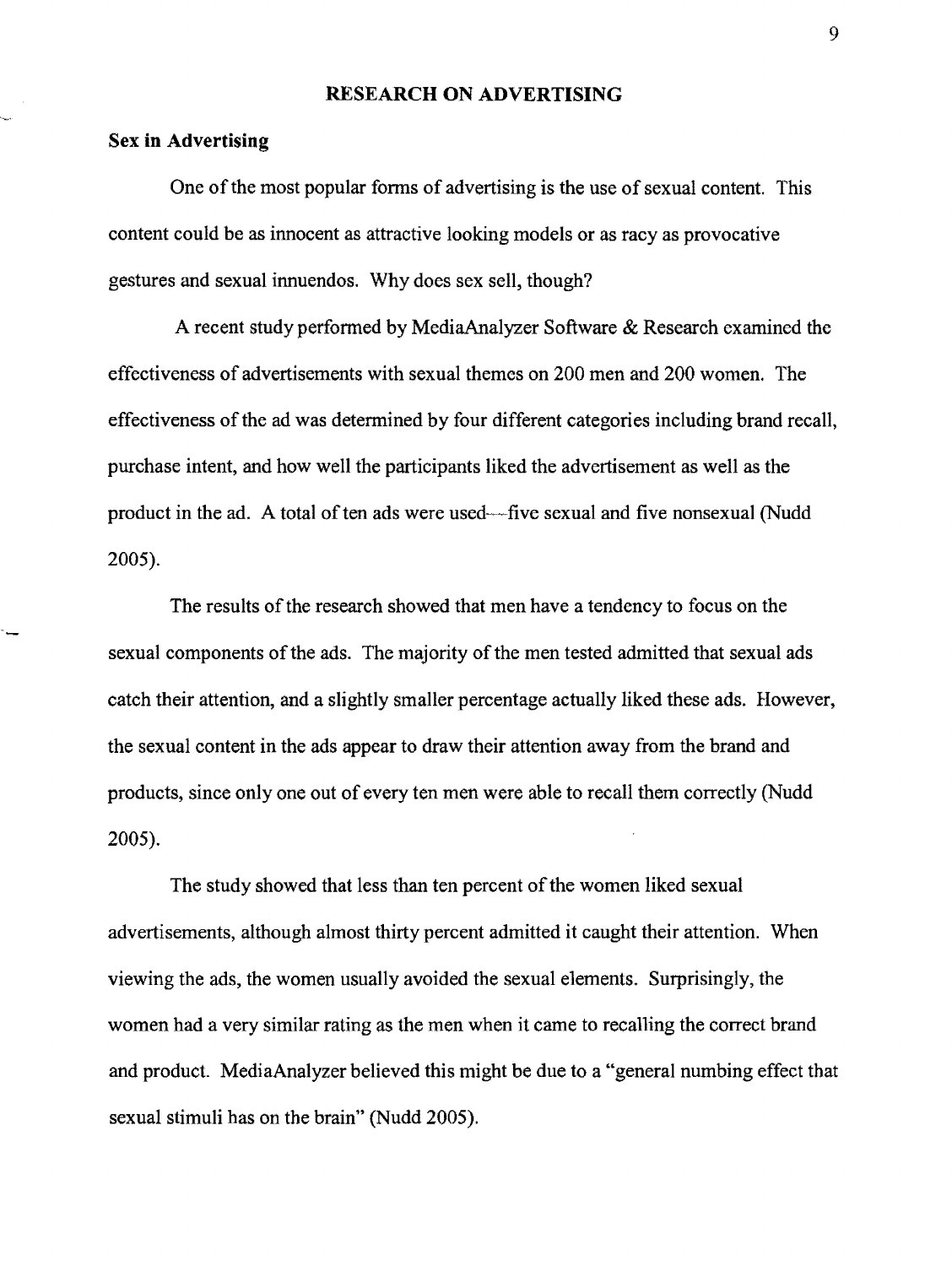#### RESEARCH ON ADVERTISING

#### Sex in Advertising

.. -

One of the most popular forms of advertising is the use of sexual content. This content could be as innocent as attractive looking models or as racy as provocative gestures and sexual innuendos. Why does sex sell, though?

A recent study perfonned by MediaAnalyzer Software & Research examined the effectiveness of advertisements with sexual themes on 200 men and 200 women. The effectiveness of the ad was detennined by four different categories including brand recall, purchase intent, and how well the participants liked the advertisement as well as the product in the ad. A total of ten ads were used—five sexual and five nonsexual (Nudd 2005).

The results of the research showed that men have a tendency to focus on the sexual components of the ads. The majority of the men tested admitted that sexual ads catch their attention, and a slightly smaller percentage actually liked these ads. However, the sexual content in the ads appear to draw their attention away from the brand and products, since only one out of every ten men were able to recall them correctly (Nudd 2005).

The study showed that less than ten percent of the women liked sexual advertisements, although almost thirty percent admitted it caught their attention. When viewing the ads, the women usually avoided the sexual elements. Surprisingly, the women had a very similar rating as the men when it came to recalling the correct brand and product. MediaAnalyzer believed this might be due to a "general numbing effect that sexual stimuli has on the brain" (Nudd 2005).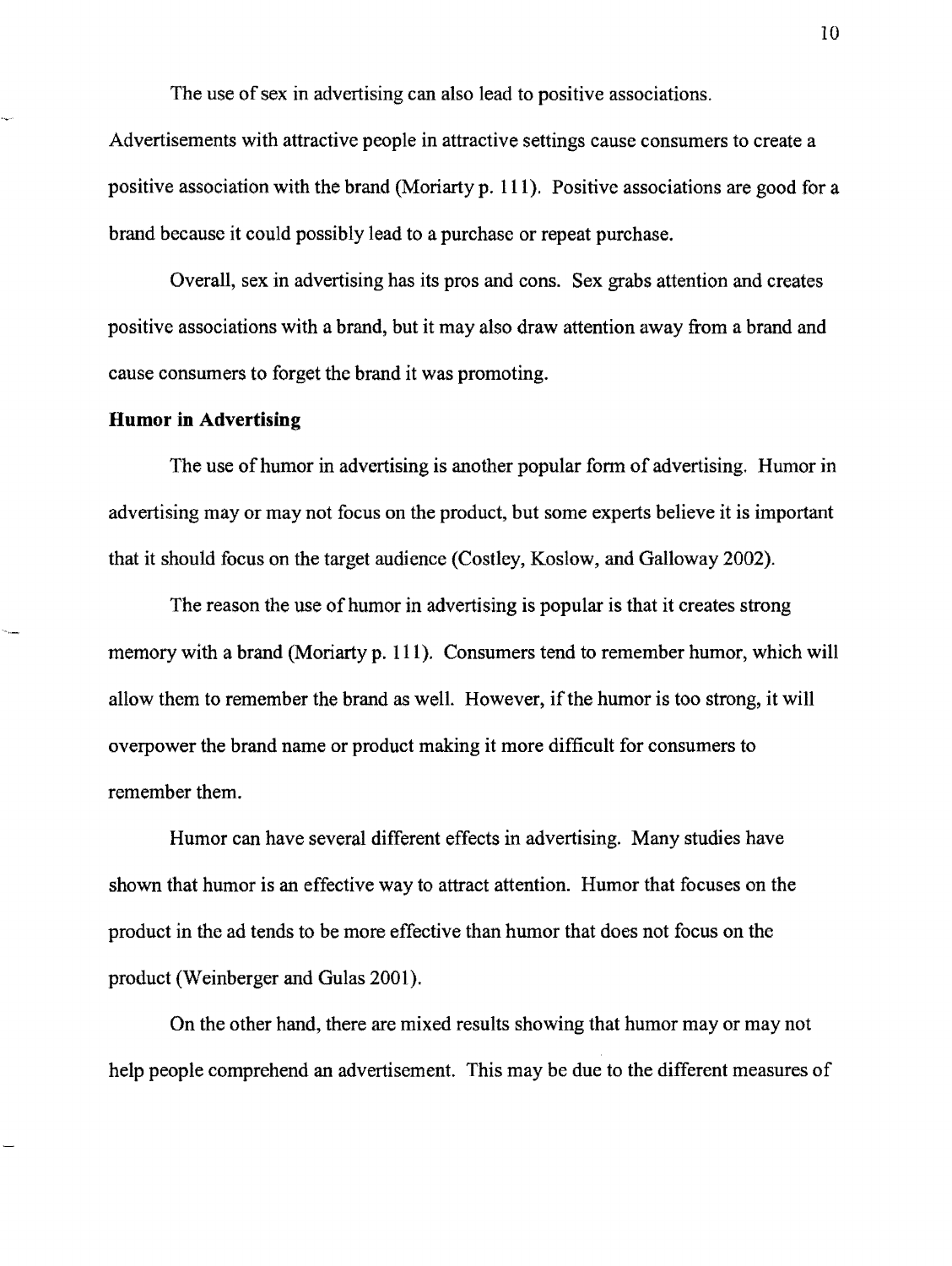The use of sex in advertising can also lead to positive associations.

Advertisements with attractive people in attractive settings cause consumers to create a positive association with the brand (Moriarty p. 111). Positive associations are good for a brand because it could possibly lead to a purchase or repeat purchase.

Overall, sex in advertising has its pros and cons. Sex grabs attention and creates positive associations with a brand, but it may also draw attention away from a brand and cause consumers to forget the brand it was promoting.

#### Humor in Advertising

The use of humor in advertising is another popular form of advertising. Humor in advertising may or may not focus on the product, but some experts believe it is important that it should focus on the target audience (Costley, Koslow, and Galloway 2002).

The reason the use of humor in advertising is popular is that it creates strong memory with a brand (Moriarty p. 111). Consumers tend to remember humor, which will allow them to remember the brand as well. However, if the humor is too strong, it will overpower the brand name or product making it more difficult for consumers to remember them.

Humor can have several different effects in advertising. Many studies have shown that humor is an effective way to attract attention. Humor that focuses on the product in the ad tends to be more effective than humor that does not focus on the product (Weinberger and Gulas 2001).

On the other hand, there are mixed results showing that humor mayor may not help people comprehend an advertisement. This may be due to the different measures of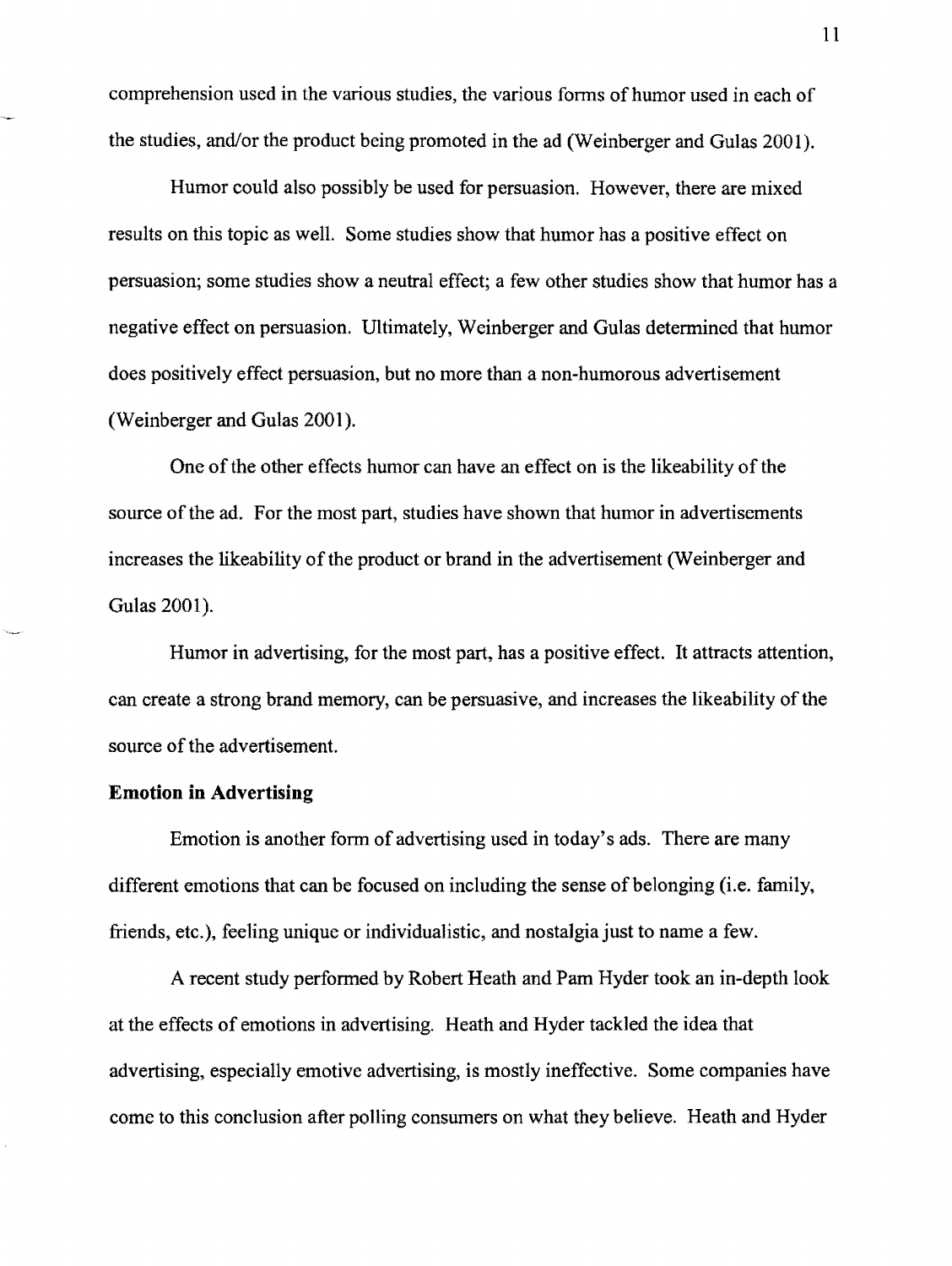comprehension used in the various studies, the various forms of humor used in each of the studies, and/or the product being promoted in the ad (Weinberger and Gulas 2001).

Humor could also possibly be used for persuasion. However, there are mixed results on this topic as well. Some studies show that humor has a positive effect on persuasion; some studies show a neutral effect; a few other studies show that humor has a negative effect on persuasion. Ultimately, Weinberger and Gulas determined that humor does positively effect persuasion, but no more than a non-humorous advertisement (Weinberger and Gulas 2001).

One of the other effects humor can have an effect on is the likeability of the source of the ad. For the most part, studies have shown that humor in advertisements increases the likeability of the product or brand in the advertisement (Weinberger and Gulas 2001).

Humor in advertising, for the most part, has a positive effect. It attracts attention, can create a strong brand memory, can be persuasive, and increases the likeability of the source of the advertisement.

#### **Emotion in Advertising**

Emotion is another form of advertising used in today's ads. There are many different emotions that can be focused on including the sense of belonging (i.e. family, friends, etc.), feeling unique or individualistic, and nostalgia just to name a few.

A recent study performed by Robert Heath and Pam Hyder took an in-depth look at the effects of emotions in advertising. Heath and Hyder tackled the idea that advertising, especially emotive advertising, is mostly ineffective. Some companies have come to this conclusion after polling consumers on what they believe. Heath and Hyder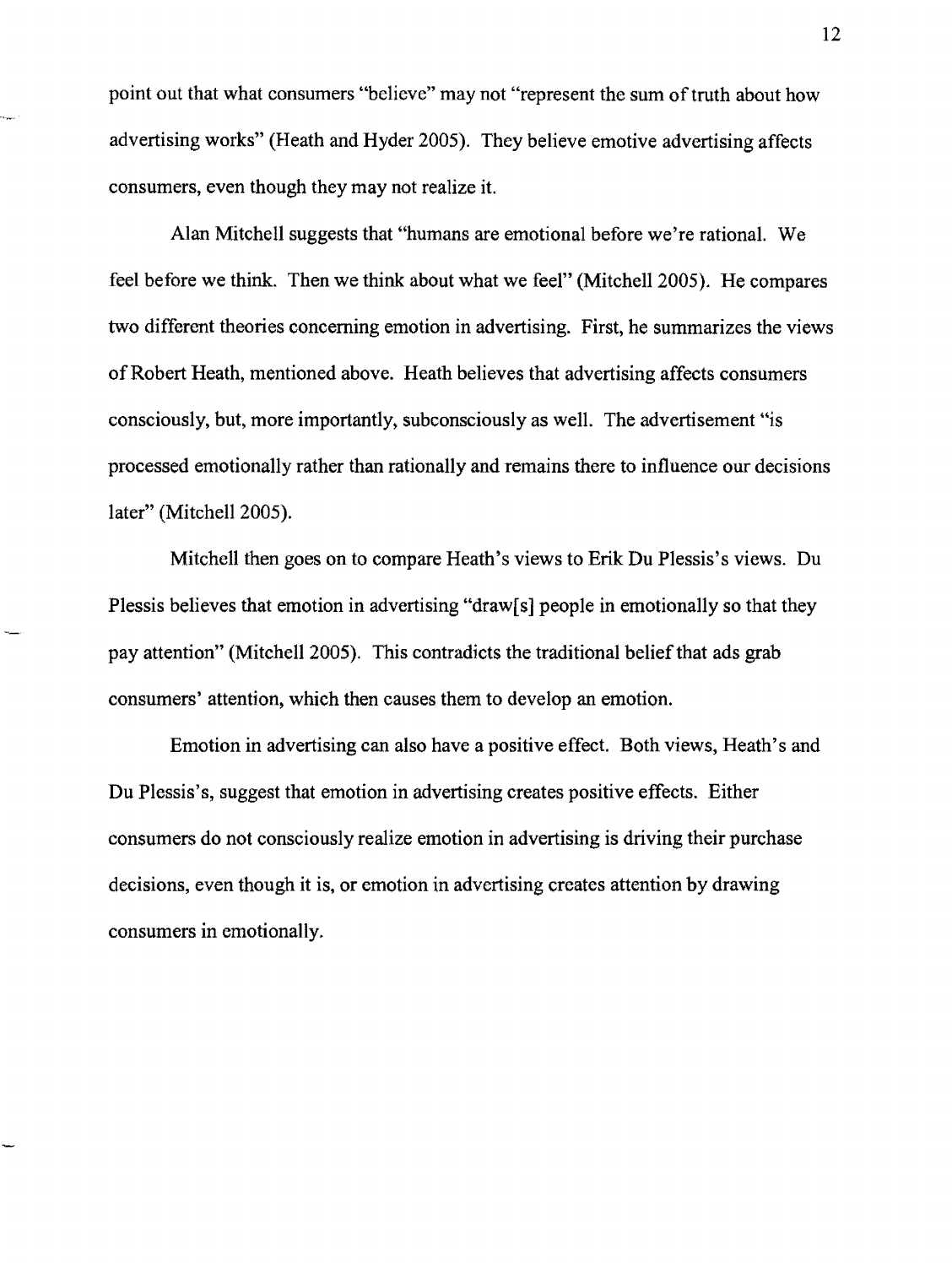point out that what consumers "believe" may not "represent the sum of truth about how advertising works" (Heath and Hyder 2005). They believe emotive advertising affects consumers, even though they may not realize it.

Alan Mitchell suggests that "humans are emotional before we're rational. We feel before we think. Then we think about what we feel" (Mitchell 2005). He compares two different theories concerning emotion in advertising. First, he summarizes the views of Robert Heath, mentioned above. Heath believes that advertising affects consumers consciously, but, more importantly, subconsciously as well. The advertisement "is processed emotionally rather than rationally and remains there to influence our decisions later" (Mitchell 2005).

Mitchell then goes on to compare Heath's views to Erik Du Plessis's views. Du Plessis believes that emotion in advertising "draw[s] people in emotionally so that they pay attention" (Mitchell 2005). This contradicts the traditional belief that ads grab consumers' attention, which then causes them to develop an emotion.

Emotion in advertising can also have a positive effect. Both views, Heath's and Du Plessis's, suggest that emotion in advertising creates positive effects. Either consumers do not consciously realize emotion in advertising is driving their purchase decisions, even though it is, or emotion in advertising creates attention by drawing consumers in emotionally.

12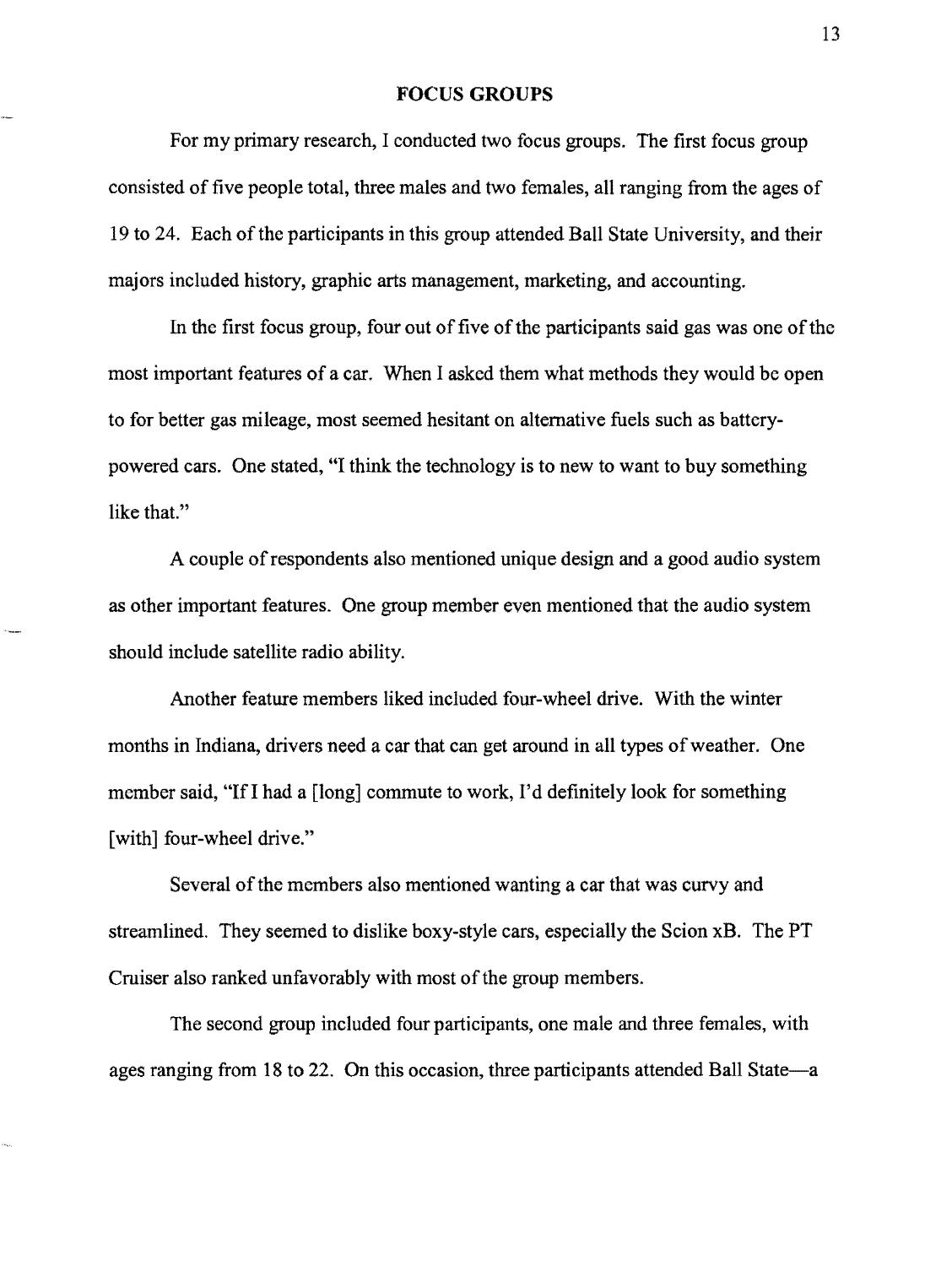#### FOCUS GROUPS

For my primary research, I conducted two focus groups. The first focus group consisted of five people total, three males and two females, all ranging from the ages of 19 to 24. Each of the participants in this group attended Ball State University, and their majors included history, graphic arts management, marketing, and accounting.

In the first focus group, four out of five of the participants said gas was one of the most important features of a car. When I asked them what methods they would be open to for better gas mileage, most seemed hesitant on alternative fuels such as batterypowered cars. One stated, "I think the technology is to new to want to buy something like that."

A couple of respondents also mentioned unique design and a good audio system as other important features. One group member even mentioned that the audio system should include satellite radio ability.

Another feature members liked included four-wheel drive. With the winter months in Indiana, drivers need a car that can get around in all types of weather. One member said, "If I had a [long] commute to work, I'd definitely look for something [with] four-wheel drive."

Several of the members also mentioned wanting a car that was curvy and streamlined. They seemed to dislike boxy-style cars, especially the Scion xB. The PT Cruiser also ranked unfavorably with most of the group members.

The second group included four participants, one male and three females, with ages ranging from 18 to 22. On this occasion, three participants attended Ball State-a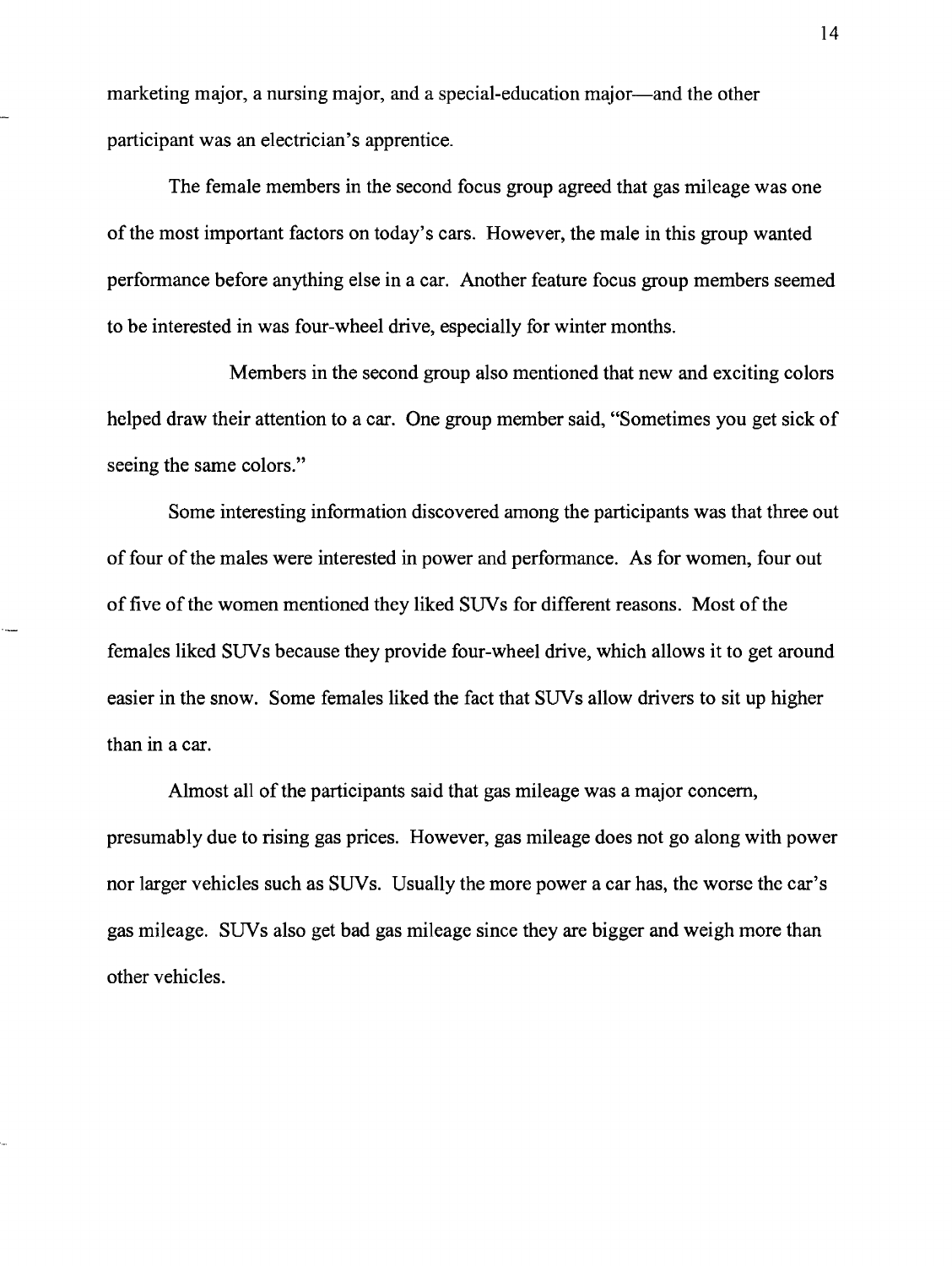marketing major, a nursing major, and a special-education major-and the other participant was an electrician's apprentice.

The female members in the second focus group agreed that gas mileage was one of the most important factors on today's cars. However, the male in this group wanted performance before anything else in a car. Another feature focus group members seemed to be interested in was four-wheel drive, especially for winter months.

Members in the second group also mentioned that new and exciting colors helped draw their attention to a car. One group member said, "Sometimes you get sick of seeing the same colors."

Some interesting information discovered among the participants was that three out of four of the males were interested in power and performance. As for women, four out of five of the women mentioned they liked SUV s for different reasons. Most of the females liked SUVs because they provide four-wheel drive, which allows it to get around easier in the snow. Some females liked the fact that SUVs allow drivers to sit up higher than in a car.

Almost all of the participants said that gas mileage was a major concern, presumably due to rising gas prices. However, gas mileage does not go along with power nor larger vehicles such as SUVs. Usually the more power a car has, the worse the car's gas mileage. SUVs also get bad gas mileage since they are bigger and weigh more than other vehicles.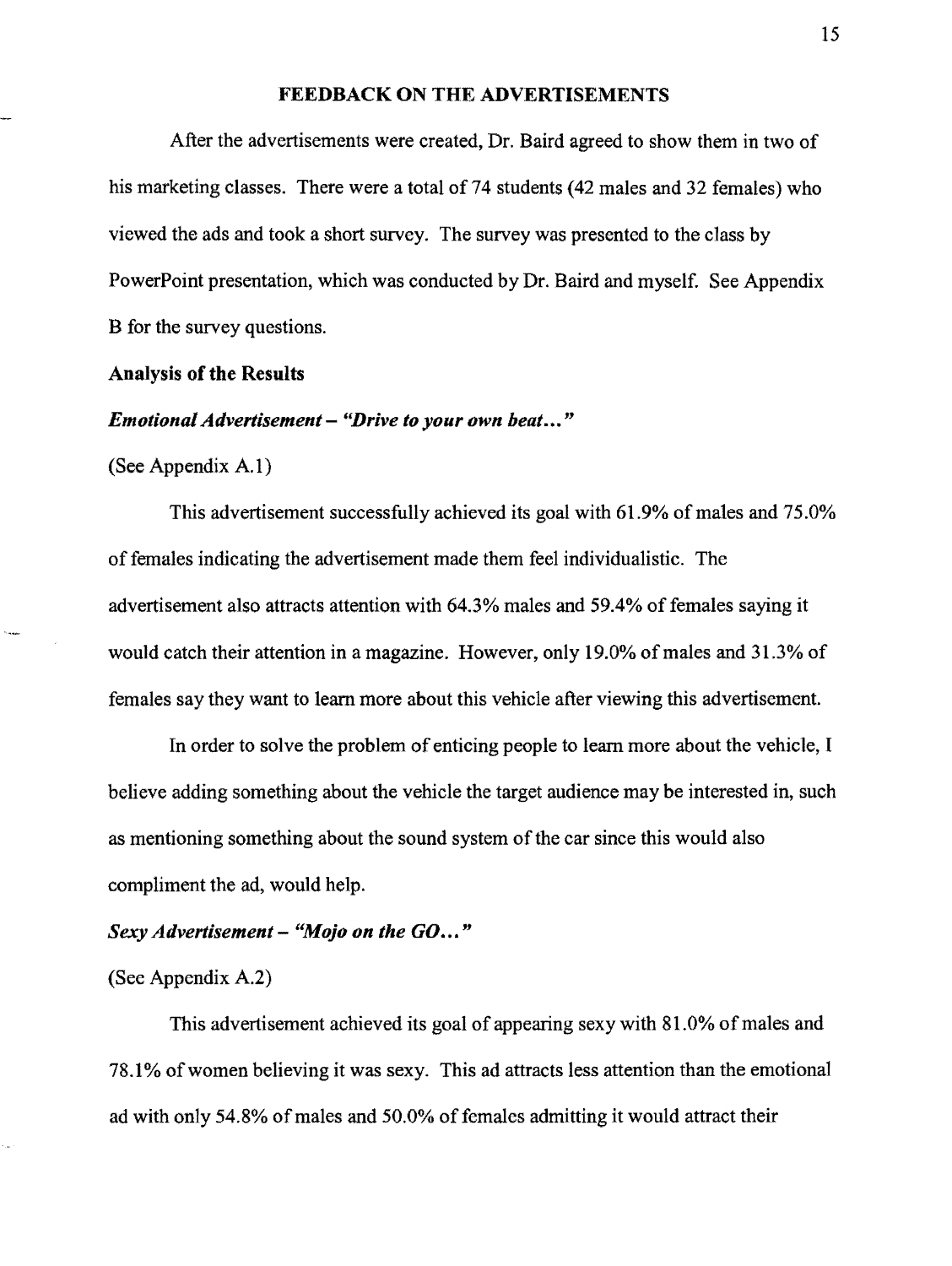#### FEEDBACK ON THE ADVERTISEMENTS

After the advertisements were created, Dr. Baird agreed to show them in two of his marketing classes. There were a total of 74 students (42 males and 32 females) who viewed the ads and took a short survey. The survey was presented to the class by PowerPoint presentation, which was conducted by Dr. Baird and myself. See Appendix B for the survey questions.

#### Analysis of the Results

#### *Emotional Advertisement* – "Drive to your own beat..."

(See Appendix A.1)

This advertisement successfully achieved its goal with 61.9% of males and 75.0% of females indicating the advertisement made them feel individualistic. The advertisement also attracts attention with 64.3% males and 59.4% of females saying it would catch their attention in a magazine. However, only 19.0% of males and 31.3% of females say they want to learn more about this vehicle after viewing this advertisement.

In order to solve the problem of enticing people to learn more about the vehicle, I believe adding something about the vehicle the target audience may be interested in, such as mentioning something about the sound system of the car since this would also compliment the ad, would help.

#### *Sexy Advertisement* - *"Mojo on the GO ••• "*

(See Appendix A.2)

This advertisement achieved its goal of appearing sexy with 81.0% of males and 78.1% of women believing it was sexy. This ad attracts less attention than the emotional ad with only 54.8% of males and 50.0% of females admitting it would attract their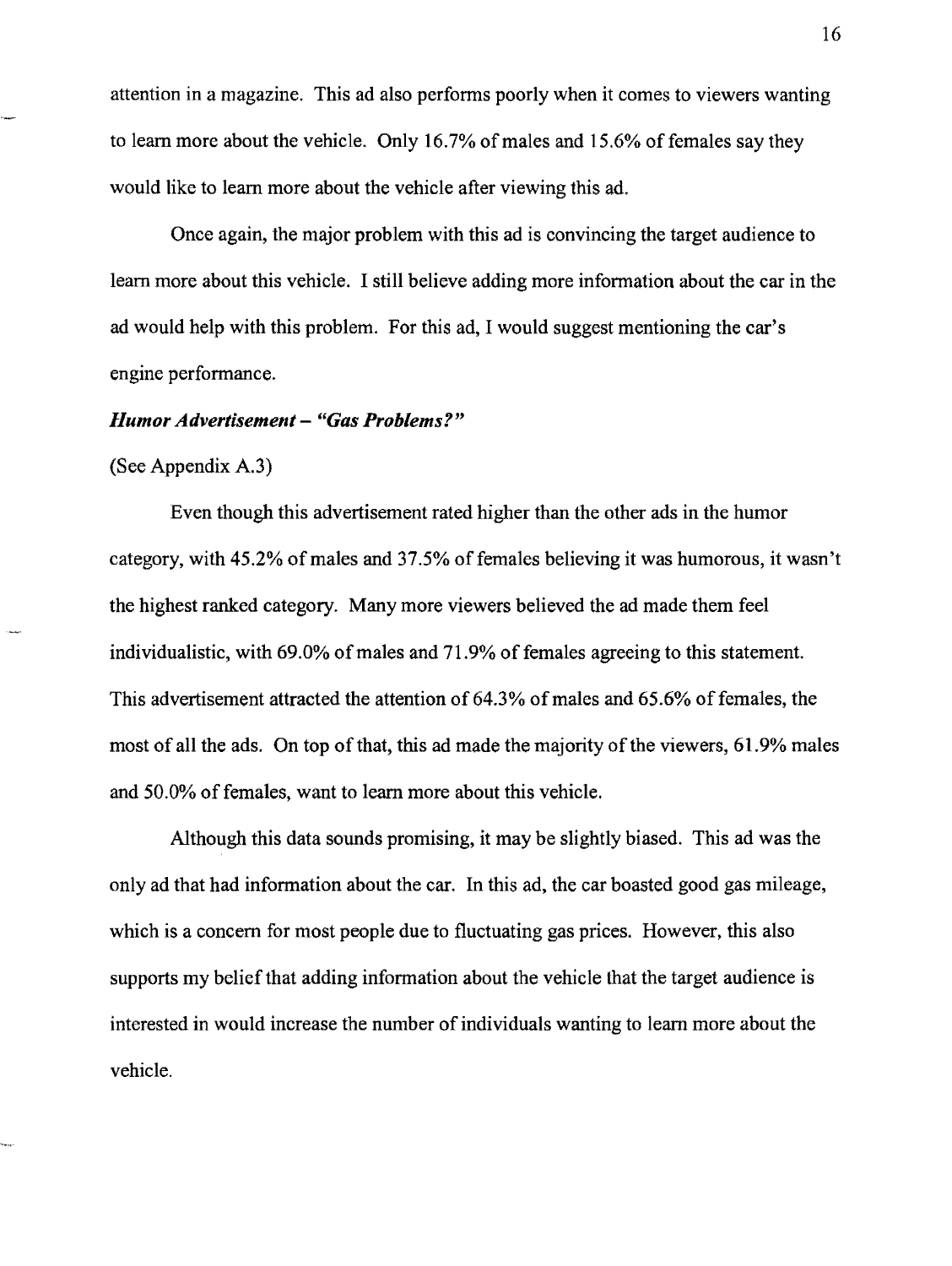attention in a magazine. This ad also performs poorly when it comes to viewers wanting to learn more about the vehicle. Only 16.7% of males and 15.6% of females say they would like to learn more about the vehicle after viewing this ad.

Once again, the major problem with this ad is convincing the target audience to learn more about this vehicle. I still believe adding more information about the car in the ad would help with this problem. For this ad, I would suggest mentioning the car's engine performance.

#### *Humor Advertisement* - *"Gas Problems?"*

(See Appendix A.3)

Even though this advertisement rated higher than the other ads in the humor category, with 45.2% of males and 37.5% of females believing it was humorous, it wasn't the highest ranked category. Many more viewers believed the ad made them feel individualistic, with 69.0% of males and 71.9% of females agreeing to this statement. This advertisement attracted the attention of 64.3% of males and 65.6% of females, the most of all the ads. On top of that, this ad made the majority of the viewers, 61.9% males and 50.0% of females, want to learn more about this vehicle.

Although this data sounds promising, it may be slightly biased. This ad was the only ad that had information about the car. In this ad, the car boasted good gas mileage, which is a concern for most people due to fluctuating gas prices. However, this also supports my belief that adding information about the vehicle that the target audience is interested in would increase the number of individuals wanting to learn more about the vehicle.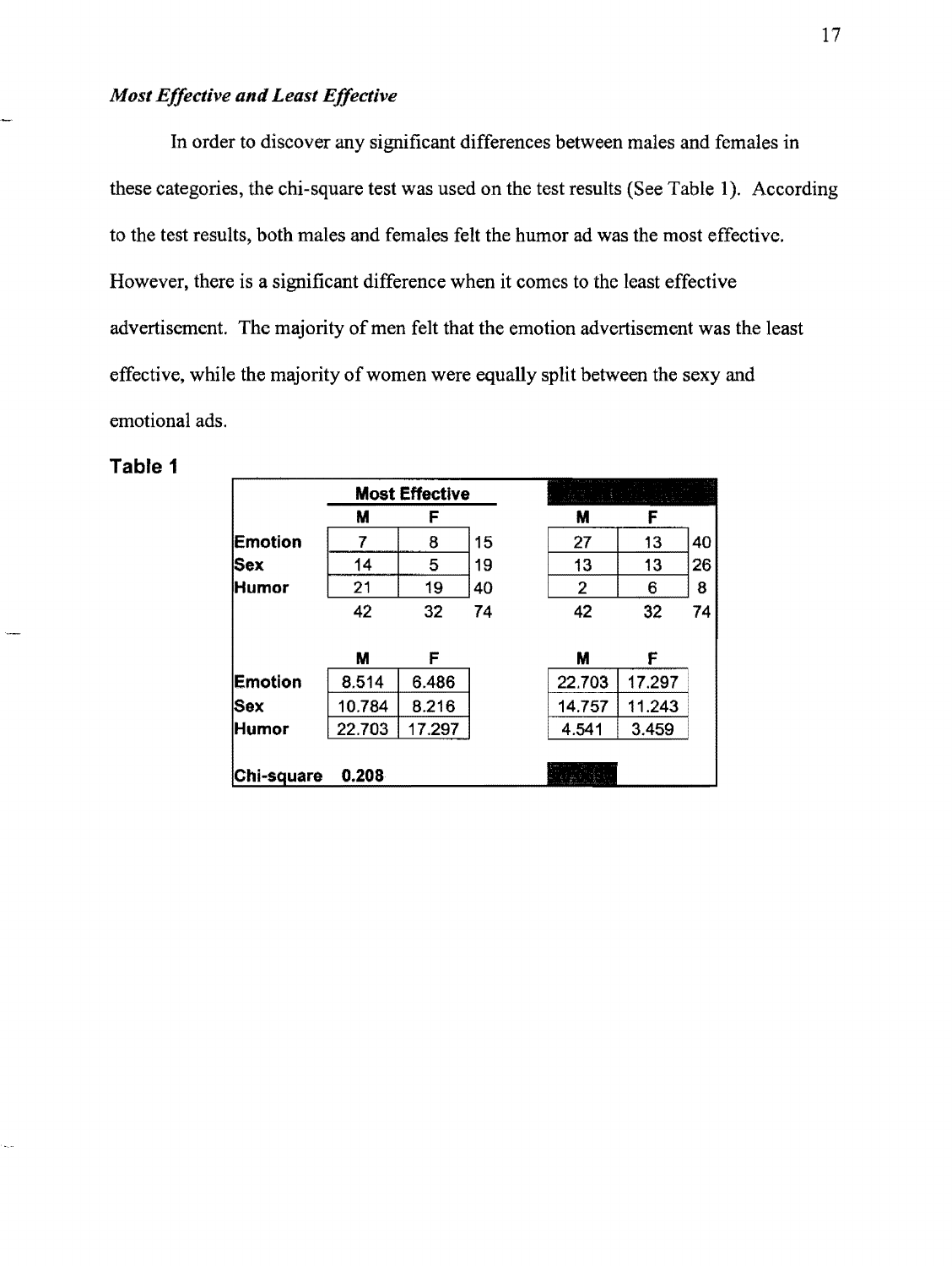#### *Most Effective and Least Effective*

In order to discover any significant differences between males and females in these categories, the chi-square test was used on the test results (See Table 1). According to the test results, both males and females felt the humor ad was the most effective. However, there is a significant difference when it comes to the least effective advertisement. The majority of men felt that the emotion advertisement was the least effective, while the majority of women were equally split between the sexy and emotional ads.

#### **Table 1**

|            | <b>Most Effective</b> |        |    |                |        |    |
|------------|-----------------------|--------|----|----------------|--------|----|
|            | M                     | F      |    | M              | F      |    |
| Emotion    |                       | 8      | 15 | 27             | 13     | 40 |
| <b>Sex</b> | 14                    | 5      | 19 | 13             | 13     | 26 |
| Humor      | 21                    | 19     | 40 | $\overline{2}$ | 6      | 8  |
|            | 42                    | 32     | 74 | 42             | 32     | 74 |
|            | M                     | F      |    | М              | F      |    |
| Emotion    | 8.514                 | 6.486  |    | 22.703         | 17.297 |    |
| Sex        | 10.784                | 8.216  |    | 14.757         | 11.243 |    |
| Humor      | 22.703                | 17.297 |    | 4.541          | 3.459  |    |
| Chi-square | 0.208                 |        |    |                |        |    |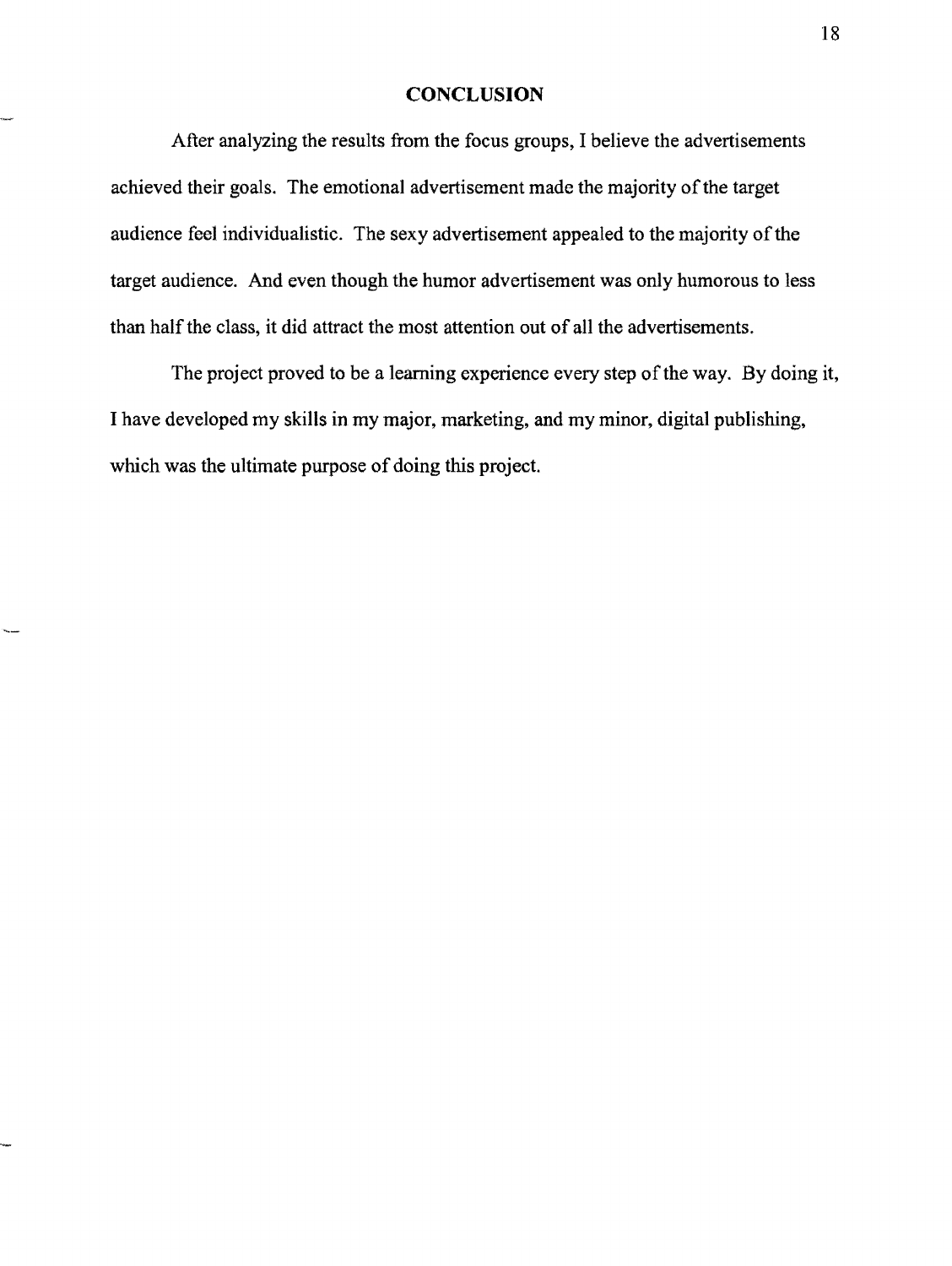#### **CONCLUSION**

After analyzing the results from the focus groups, I believe the advertisements achieved their goals. The emotional advertisement made the majority of the target audience feel individualistic. The sexy advertisement appealed to the majority of the target audience. And even though the humor advertisement was only humorous to less than half the class, it did attract the most attention out of all the advertisements.

The project proved to be a learning experience every step of the way. By doing it, I have developed my skills in my major, marketing, and my minor, digital publishing, which was the ultimate purpose of doing this project.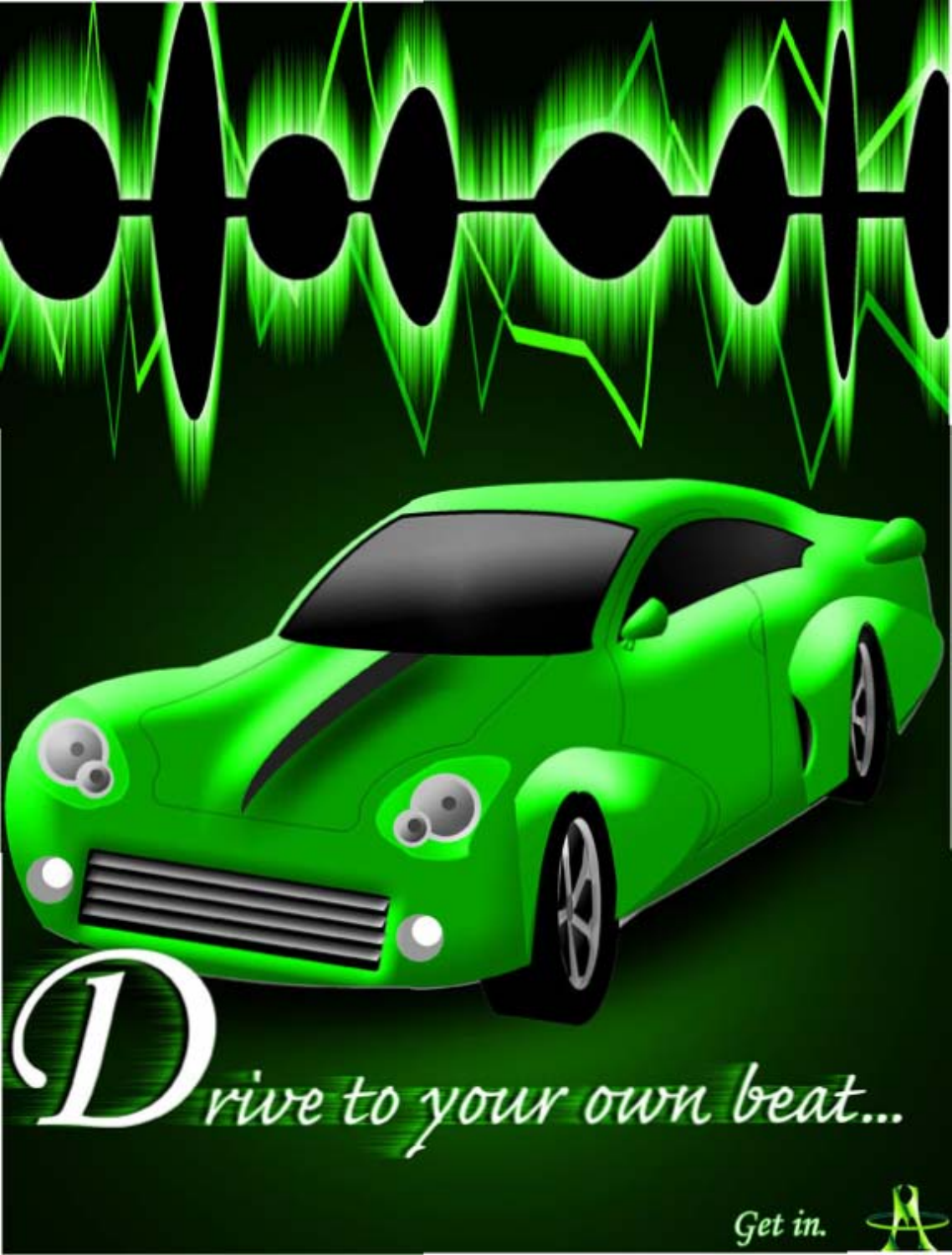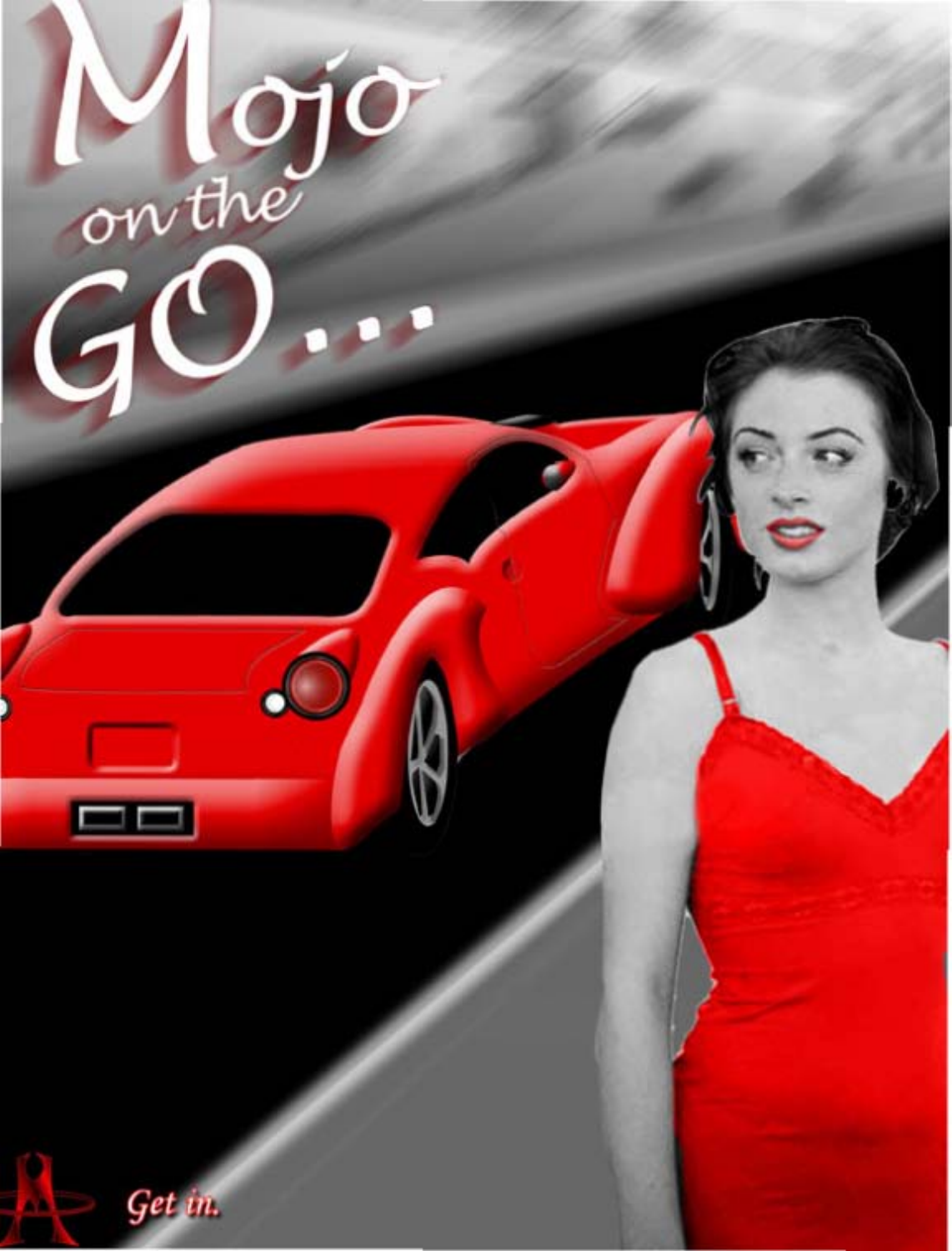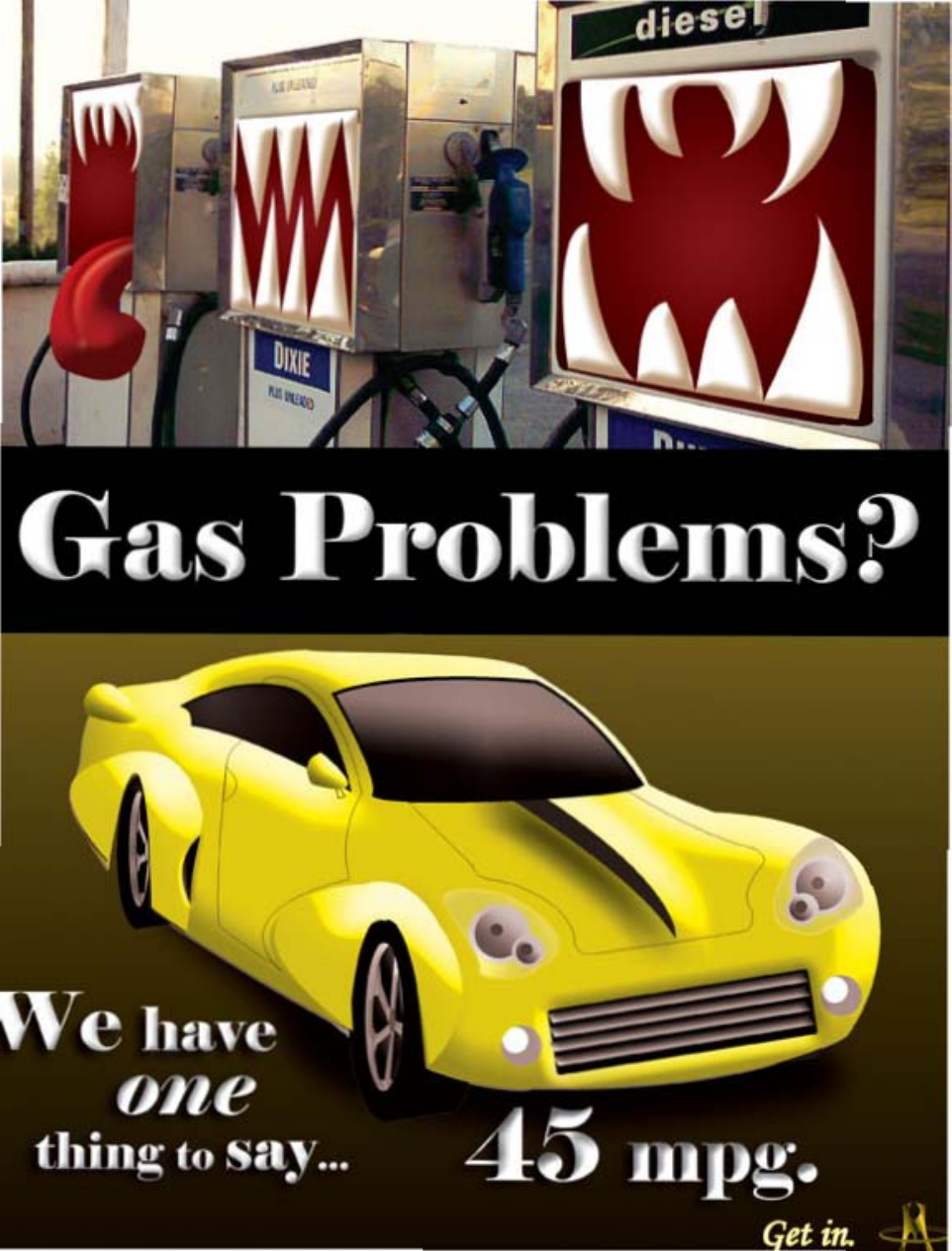

# **Gas Problems?**

 $45$  mpg.

Get in.  $\Box$ 

## $\boldsymbol{W}\mathbf{e}$  have one thing to Say...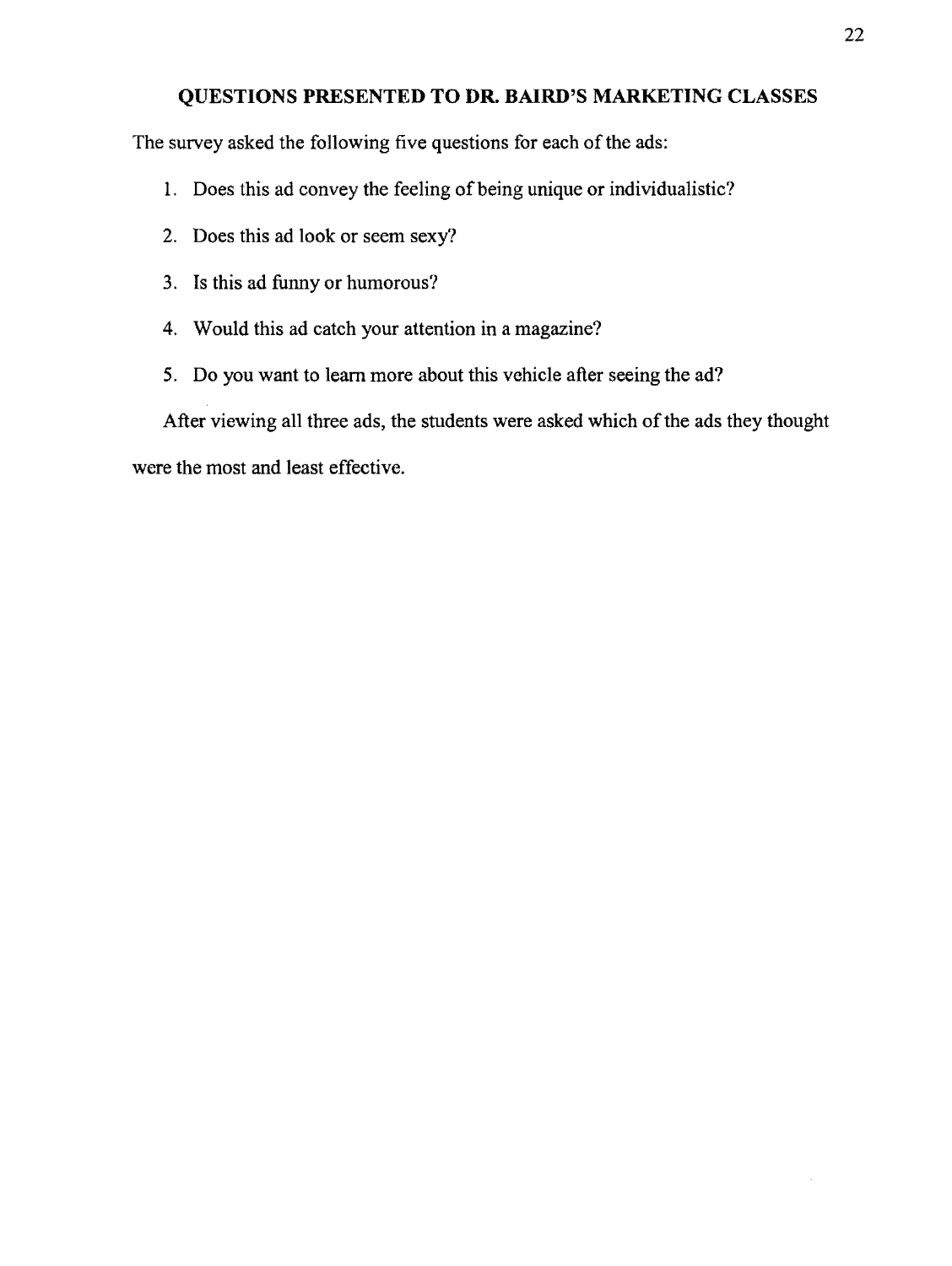#### **QUESTIONS PRESENTED TO DR. BAIRD'S MARKETING CLASSES**

The survey asked the following five questions for each of the ads:

- 1. Does this ad convey the feeling of being unique or individualistic?
- 2. Does this ad look or seem sexy?
- 3. Is this ad funny or humorous?
- 4. Would this ad catch your attention in a magazine?
- 5. Do you want to learn more about this vehicle after seeing the ad?

After viewing all three ads, the students were asked which of the ads they thought were the most and least effective.

 $\sim$